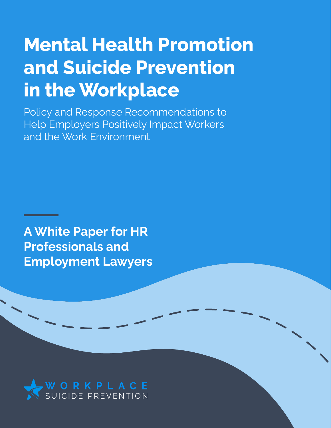# **Mental Health Promotion and Suicide Prevention in the Workplace**

Policy and Response Recommendations to Help Employers Positively Impact Workers and the Work Environment

**A White Paper for HR Professionals and Employment Lawyers**

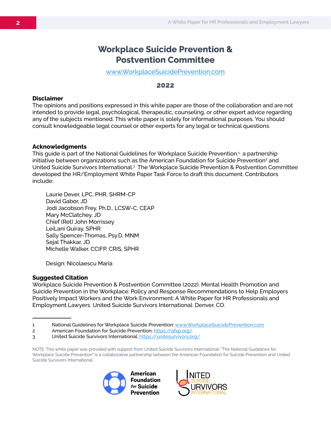## **Workplace Suicide Prevention & Postvention Committee**

www.WorkplaceSuicidePrevention.com

#### **2022**

#### **Disclaimer**

The opinions and positions expressed in this white paper are those of the collaboration and are not intended to provide legal, psychological, therapeutic, counseling, or other expert advice regarding any of the subjects mentioned. This white paper is solely for informational purposes. You should consult knowledgeable legal counsel or other experts for any legal or technical questions.

#### **Acknowledgments**

This guide is part of the National Guidelines for Workplace Suicide Prevention.1 a partnership initiative between organizations such as the American Foundation for Suicide Prevention<sup>2</sup> and United Suicide Survivors International.<sup>3</sup> The Workplace Suicide Prevention & Postvention Committee developed the HR/Employment White Paper Task Force to draft this document. Contributors include:

Laurie Dever, LPC, PHR, SHRM-CP David Gabor, JD Jodi Jacobson Frey, Ph.D., LCSW-C, CEAP Mary McClatchey, JD Chief (Ret) John Morrissey LeiLani Quiray, SPHR Sally Spencer-Thomas, Psy.D, MNM Sejal Thakkar, JD Michelle Walker, CCIFP, CRIS, SPHR

Design: Nicolaescu Maria

#### **Suggested Citation**

Workplace Suicide Prevention & Postvention Committee (2022). Mental Health Promotion and Suicide Prevention in the Workplace: Policy and Response Recommendations to Help Employers Positively Impact Workers and the Work Environment: A White Paper for HR Professionals and Employment Lawyers. United Suicide Survivors International: Denver, CO.

NOTE: This white paper was provided with support from United Suicide Survivors International. "The National Guidelines for Workplace Suicide Prevention" is a collaborative partnership between the American Foundation for Suicide Prevention and United Suicide Survivors International.





<sup>1</sup> National Guidelines for Workplace Suicide Prevention: www.WorkplaceSuicidePrevention.com

<sup>2</sup> American Foundation for Suicide Prevention: https://afsp.org/

<sup>3</sup> United Suicide Survivors International: https://unitesurvivors.org/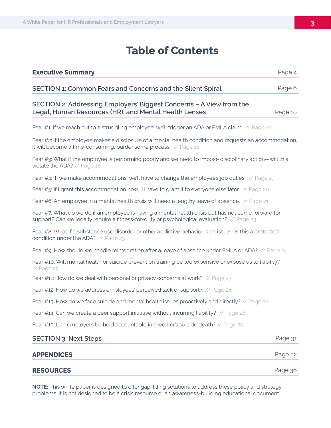# **Table of Contents**

| <b>SECTION 1: Common Fears and Concerns and the Silent Spiral</b>                                                                                                                                 | Page 6  |
|---------------------------------------------------------------------------------------------------------------------------------------------------------------------------------------------------|---------|
| SECTION 2: Addressing Employers' Biggest Concerns - A View from the<br>Legal, Human Resources (HR), and Mental Health Lenses                                                                      | Page 10 |
| Fear #1: If we reach out to a struggling employee, we'll trigger an ADA or FMLA claim. // Page 10                                                                                                 |         |
| Fear #2: If the employee makes a disclosure of a mental health condition and requests an accommodation,<br>it will become a time-consuming, burdensome process. // Page 16                        |         |
| Fear #3: What if the employee is performing poorly and we need to impose disciplinary action—will this<br>violate the ADA? // Page 18                                                             |         |
| Fear #4: If we make accommodations, we'll have to change the employee's job duties. // Page 19                                                                                                    |         |
| Fear #5: If I grant this accommodation now, I'll have to grant it to everyone else later. // Page 20                                                                                              |         |
| Fear #6: An employee in a mental health crisis will need a lengthy leave of absence. // Page 21                                                                                                   |         |
| Fear #7: What do we do if an employee is having a mental health crisis but has not come forward for<br>support? Can we legally require a fitness-for-duty or psychological evaluation? // Page 23 |         |
| Fear #8: What if a substance use disorder or other addictive behavior is an issue—is this a protected<br>condition under the ADA? // Page 23                                                      |         |
| Fear #9: How should we handle reintegration after a leave of absence under FMLA or ADA? // Page 24                                                                                                |         |
| Fear #10: Will mental health or suicide prevention training be too expensive or expose us to liability?<br>// Page 25                                                                             |         |
| Fear #11: How do we deal with personal or privacy concerns at work? // Page 27                                                                                                                    |         |
| Fear #12: How do we address employees' perceived lack of support? // Page 28                                                                                                                      |         |
| Fear #13: How do we face suicide and mental health issues proactively and directly? // Page 28                                                                                                    |         |
| Fear #14: Can we create a peer support initiative without incurring liability? // Page 28                                                                                                         |         |
| Fear #15: Can employers be held accountable in a worker's suicide death? // Page 29                                                                                                               |         |
| <b>SECTION 3: Next Steps</b>                                                                                                                                                                      | Page 31 |
| <b>APPENDICES</b>                                                                                                                                                                                 | Page 32 |
| <b>RESOURCES</b>                                                                                                                                                                                  | Page 36 |

**NOTE:** This white paper is designed to offer gap-filling solutions to address these policy and strategy problems. It is not designed to be a crisis resource or an awareness-building educational document.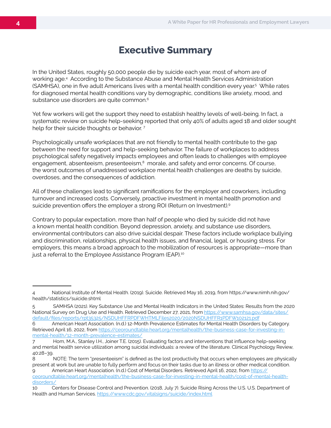# **Executive Summary**

In the United States, roughly 50,000 people die by suicide each year, most of whom are of working age.4 According to the Substance Abuse and Mental Health Services Administration (SAMHSA), one in five adult Americans lives with a mental health condition every year.<sup>5</sup> While rates for diagnosed mental health conditions vary by demographic, conditions like anxiety, mood, and substance use disorders are quite common.<sup>6</sup>

Yet few workers will get the support they need to establish healthy levels of well-being. In fact, a systematic review on suicide help-seeking reported that only 40% of adults aged 18 and older sought help for their suicide thoughts or behavior.<sup>7</sup>

Psychologically unsafe workplaces that are not friendly to mental health contribute to the gap between the need for support and help-seeking behavior. The failure of workplaces to address psychological safety negatively impacts employees and often leads to challenges with employee engagement, absenteeism, presenteeism,<sup>8</sup> morale, and safety and error concerns. Of course, the worst outcomes of unaddressed workplace mental health challenges are deaths by suicide, overdoses, and the consequences of addiction.

All of these challenges lead to significant ramifications for the employer and coworkers, including turnover and increased costs. Conversely, proactive investment in mental health promotion and suicide prevention offers the employer a strong ROI (Return on Investment).<sup>9</sup>

Contrary to popular expectation, more than half of people who died by suicide did not have a known mental health condition. Beyond depression, anxiety, and substance use disorders, environmental contributors can also drive suicidal despair. These factors include workplace bullying and discrimination, relationships, physical health issues, and financial, legal, or housing stress. For employers, this means a broad approach to the mobilization of resources is appropriate—more than just a referral to the Employee Assistance Program (EAP).<sup>10</sup>

<sup>4</sup> National Institute of Mental Health. (2019). Suicide. Retrieved May 16, 2019, from https://www.nimh.nih.gov/ health/statistics/suicide.shtml

<sup>5</sup> SAMHSA (2021). Key Substance Use and Mental Health Indicators in the United States: Results from the 2020 National Survey on Drug Use and Health. Retrieved December 27, 2021, from https://www.samhsa.gov/data/sites/ default/files/reports/rpt35325/NSDUHFFRPDFWHTMLFiles2020/2020NSDUHFFR1PDFW102121.pdf

<sup>6</sup> American Heart Association. (n.d.) 12-Month Prevalence Estimates for Mental Health Disorders by Category. Retrieved April 16, 2022, from https://ceoroundtable.heart.org/mentalhealth/the-business-case-for-investing-inmental-health/12-month-prevalence-estimates/

<sup>7</sup> Hom, M.A., Stanley I.H., Joiner T.E. (2015). Evaluating factors and interventions that influence help-seeking and mental health service utilization among suicidal individuals: a review of the literature. Clinical Psychology Review, 40:28–39.

<sup>8</sup> NOTE: The term "presenteeism" is defined as the lost productivity that occurs when employees are physically present at work but are unable to fully perform and focus on their tasks due to an illness or other medical condition.

<sup>9</sup> American Heart Association. (n.d.) Cost of Mental Disorders. Retrieved April 16, 2022, from https:// ceoroundtable.heart.org/mentalhealth/the-business-case-for-investing-in-mental-health/cost-of-mental-healthdisorders/

<sup>10</sup> Centers for Disease Control and Prevention. (2018, July 7). Suicide Rising Across the U.S. U.S. Department of Health and Human Services. https://www.cdc.gov/vitalsigns/suicide/index.html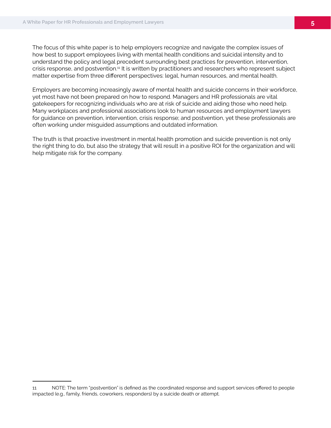The focus of this white paper is to help employers recognize and navigate the complex issues of how best to support employees living with mental health conditions and suicidal intensity and to understand the policy and legal precedent surrounding best practices for prevention, intervention, crisis response, and postvention.11 It is written by practitioners and researchers who represent subject matter expertise from three different perspectives: legal, human resources, and mental health.

Employers are becoming increasingly aware of mental health and suicide concerns in their workforce, yet most have not been prepared on how to respond. Managers and HR professionals are vital gatekeepers for recognizing individuals who are at risk of suicide and aiding those who need help. Many workplaces and professional associations look to human resources and employment lawyers for guidance on prevention, intervention, crisis response; and postvention, yet these professionals are often working under misguided assumptions and outdated information.

The truth is that proactive investment in mental health promotion and suicide prevention is not only the right thing to do, but also the strategy that will result in a positive ROI for the organization and will help mitigate risk for the company.

<sup>11</sup> NOTE: The term "postvention" is defined as the coordinated response and support services offered to people impacted (e.g., family, friends, coworkers, responders) by a suicide death or attempt.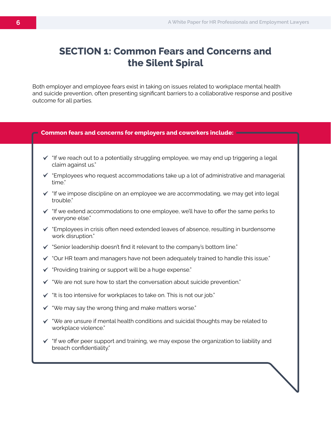# **SECTION 1: Common Fears and Concerns and the Silent Spiral**

Both employer and employee fears exist in taking on issues related to workplace mental health and suicide prevention, often presenting significant barriers to a collaborative response and positive outcome for all parties.

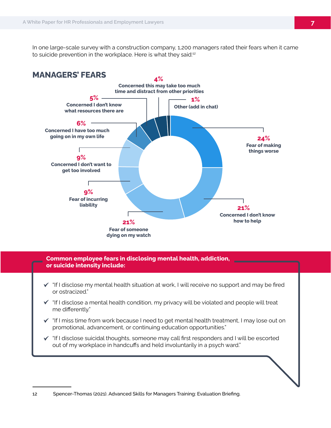In one large-scale survey with a construction company, 1,200 managers rated their fears when it came to suicide prevention in the workplace. Here is what they said:<sup>12</sup>



#### **Common employee fears in disclosing mental health, addiction, or suicide intensity include:**

- $\checkmark$  "If I disclose my mental health situation at work, I will receive no support and may be fired or ostracized."
- $\checkmark$  "If I disclose a mental health condition, my privacy will be violated and people will treat me differently."
- $\checkmark$  "If I miss time from work because I need to get mental health treatment, I may lose out on promotional, advancement, or continuing education opportunities."
- "If I disclose suicidal thoughts, someone may call first responders and I will be escorted out of my workplace in handcuffs and held involuntarily in a psych ward."

<sup>12</sup> Spencer-Thomas (2021). Advanced Skills for Managers Training: Evaluation Briefing.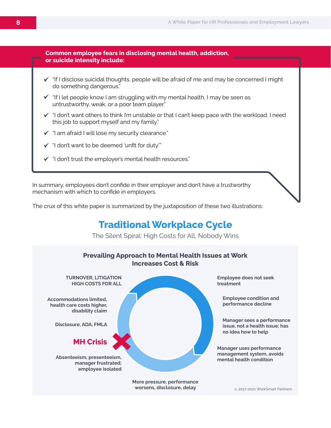

- $\checkmark$  "If I disclose suicidal thoughts, people will be afraid of me and may be concerned I might do something dangerous."
- $\checkmark$  "If I let people know I am struggling with my mental health, I may be seen as untrustworthy, weak, or a poor team player."
- $\checkmark$  "I don't want others to think I'm unstable or that I can't keep pace with the workload. I need this job to support myself and my family."
- $\checkmark$  "I am afraid I will lose my security clearance."
- "I don't want to be deemed 'unfit for duty.'"
- "I don't trust the employer's mental health resources."

In summary, employees don't confide in their employer and don't have a trustworthy mechanism with which to confide in employers.

The crux of this white paper is summarized by the juxtaposition of these two illustrations:

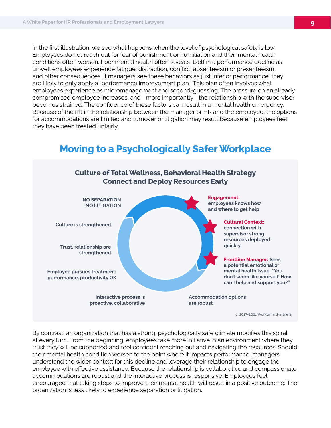In the first illustration, we see what happens when the level of psychological safety is low. Employees do not reach out for fear of punishment or humiliation and their mental health conditions often worsen. Poor mental health often reveals itself in a performance decline as unwell employees experience fatigue, distraction, conflict, absenteeism or presenteeism, and other consequences. If managers see these behaviors as just inferior performance, they are likely to only apply a "performance improvement plan." This plan often involves what employees experience as micromanagement and second-guessing. The pressure on an already compromised employee increases, and—more importantly—the relationship with the supervisor becomes strained. The confluence of these factors can result in a mental health emergency. Because of the rift in the relationship between the manager or HR and the employee, the options for accommodations are limited and turnover or litigation may result because employees feel they have been treated unfairly.



**Moving to a Psychologically Safer Workplace**

By contrast, an organization that has a strong, psychologically safe climate modifies this spiral at every turn. From the beginning, employees take more initiative in an environment where they trust they will be supported and feel confident reaching out and navigating the resources. Should their mental health condition worsen to the point where it impacts performance, managers understand the wider context for this decline and leverage their relationship to engage the employee with effective assistance. Because the relationship is collaborative and compassionate, accommodations are robust and the interactive process is responsive. Employees feel encouraged that taking steps to improve their mental health will result in a positive outcome. The organization is less likely to experience separation or litigation.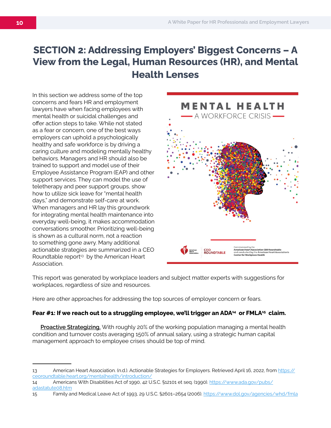# **SECTION 2: Addressing Employers' Biggest Concerns – A View from the Legal, Human Resources (HR), and Mental Health Lenses**

In this section we address some of the top concerns and fears HR and employment lawyers have when facing employees with mental health or suicidal challenges and offer action steps to take. While not stated as a fear or concern, one of the best ways employers can uphold a psychologically healthy and safe workforce is by driving a caring culture and modeling mentally healthy behaviors. Managers and HR should also be trained to support and model use of their Employee Assistance Program (EAP) and other support services. They can model the use of teletherapy and peer support groups, show how to utilize sick leave for "mental health days," and demonstrate self-care at work. When managers and HR lay this groundwork for integrating mental health maintenance into everyday well-being, it makes accommodation conversations smoother. Prioritizing well-being is shown as a cultural norm, not a reaction to something gone awry. Many additional actionable strategies are summarized in a CEO Roundtable report<sup>13</sup> by the American Heart Association.



This report was generated by workplace leaders and subject matter experts with suggestions for workplaces, regardless of size and resources.

Here are other approaches for addressing the top sources of employer concern or fears.

#### Fear #1: If we reach out to a struggling employee, we'll trigger an ADA<sup>14</sup> or FMLA<sup>15</sup> claim.

**Proactive Strategizing.** With roughly 20% of the working population managing a mental health condition and turnover costs averaging 150% of annual salary, using a strategic human capital management approach to employee crises should be top of mind.

<sup>13</sup> American Heart Association. (n.d.). Actionable Strategies for Employers. Retrieved April 16, 2022, from https:// ceoroundtable.heart.org/mentalhealth/introduction/

<sup>14</sup> Americans With Disabilities Act of 1990, 42 U.S.C. §12101 et seq. (1990). https://www.ada.gov/pubs/ adastatute08.htm

<sup>15</sup> Family and Medical Leave Act of 1993, 29 U.S.C. §2601–2654 (2006). https://www.dol.gov/agencies/whd/fmla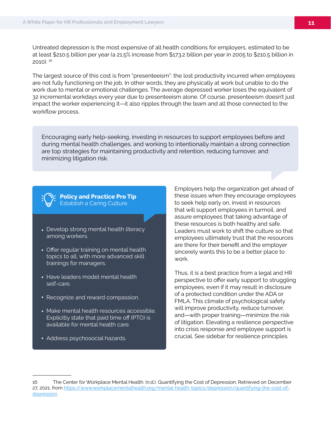Untreated depression is the most expensive of all health conditions for employers, estimated to be at least \$210.5 billion per year (a 21.5% increase from \$173.2 billion per year in 2005 to \$210.5 billion in 2010). 16

The largest source of this cost is from "presenteeism": the lost productivity incurred when employees are not fully functioning on the job. In other words, they are physically at work but unable to do the work due to mental or emotional challenges. The average depressed worker loses the equivalent of 32 incremental workdays every year due to presenteeism alone. Of course, presenteeism doesn't just impact the worker experiencing it—it also ripples through the team and all those connected to the workflow process.

Encouraging early help-seeking, investing in resources to support employees before and during mental health challenges, and working to intentionally maintain a strong connection are top strategies for maintaining productivity and retention, reducing turnover, and minimizing litigation risk.

#### **Policy and Practice Pro Tip** Establish a Caring Culture.

- Develop strong mental health literacy among workers.
- Offer regular training on mental health topics to all, with more advanced skill trainings for managers.
- Have leaders model mental health self-care.
- Recognize and reward compassion.
- Make mental health resources accessible. Explicitly state that paid time off (PTO) is available for mental health care.
- Address psychosocial hazards.

Employers help the organization get ahead of these issues when they encourage employees to seek help early on, invest in resources that will support employees in turmoil, and assure employees that taking advantage of these resources is both healthy and safe. Leaders must work to shift the culture so that employees ultimately trust that the resources are there for their benefit and the employer sincerely wants this to be a better place to work.

Thus, it is a best practice from a legal and HR perspective to offer early support to struggling employees, even if it may result in disclosure of a protected condition under the ADA or FMLA. This climate of psychological safety will improve productivity, reduce turnover, and—with proper training—minimize the risk of litigation. Elevating a resilience perspective into crisis response and employee support is crucial. See sidebar for resilience principles.

<sup>16</sup> The Center for Workplace Mental Health. (n.d.). Quantifying the Cost of Depression. Retrieved on December 27, 2021, from https://www.workplacementalhealth.org/mental-health-topics/depression/quantifying-the-cost-ofdepression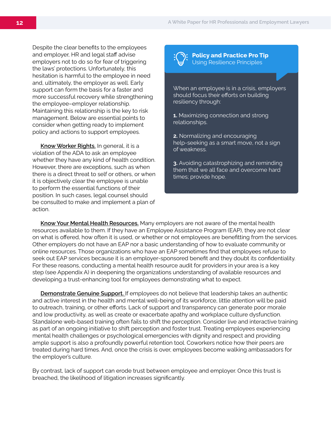Despite the clear benefits to the employees and employer, HR and legal staff advise employers not to do so for fear of triggering the laws' protections. Unfortunately, this hesitation is harmful to the employee in need and, ultimately, the employer as well. Early support can form the basis for a faster and more successful recovery while strengthening the employee–employer relationship. Maintaining this relationship is the key to risk management. Below are essential points to consider when getting ready to implement policy and actions to support employees.

**Know Worker Rights.** In general, it is a violation of the ADA to ask an employee whether they have any kind of health condition. However, there are exceptions, such as when there is a direct threat to self or others, or when it is objectively clear the employee is unable to perform the essential functions of their position. In such cases, legal counsel should be consulted to make and implement a plan of action.

**Policy and Practice Pro Tip** Using Resilience Principles

When an employee is in a crisis, employers should focus their efforts on building resiliency through:

- **1.** Maximizing connection and strong relationships.
- **2.** Normalizing and encouraging help-seeking as a smart move, not a sign of weakness.

**3.** Avoiding catastrophizing and reminding them that we all face and overcome hard times; provide hope.

**Know Your Mental Health Resources.** Many employers are not aware of the mental health resources available to them. If they have an Employee Assistance Program (EAP), they are not clear on what is offered, how often it is used, or whether or not employees are benefitting from the services. Other employers do not have an EAP nor a basic understanding of how to evaluate community or online resources. Those organizations who have an EAP sometimes find that employees refuse to seek out EAP services because it is an employer-sponsored benefit and they doubt its confidentiality. For these reasons, conducting a mental health resource audit for providers in your area is a key step (see Appendix A) in deepening the organizations understanding of available resources and developing a trust-enhancing tool for employees demonstrating what to expect.

**Demonstrate Genuine Support.** If employees do not believe that leadership takes an authentic and active interest in the health and mental well-being of its workforce, little attention will be paid to outreach, training, or other efforts. Lack of support and transparency can generate poor morale and low productivity, as well as create or exacerbate apathy and workplace culture dysfunction. Standalone web-based training often fails to shift the perception. Consider live and interactive training as part of an ongoing initiative to shift perception and foster trust. Treating employees experiencing mental health challenges or psychological emergencies with dignity and respect and providing ample support is also a profoundly powerful retention tool. Coworkers notice how their peers are treated during hard times. And, once the crisis is over, employees become walking ambassadors for the employer's culture.

By contrast, lack of support can erode trust between employee and employer. Once this trust is breached, the likelihood of litigation increases significantly.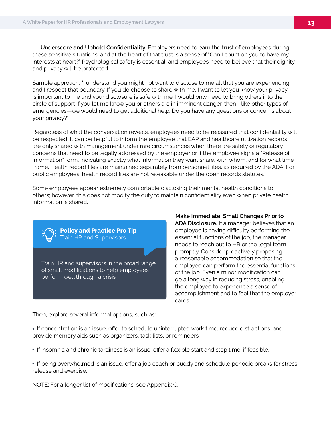**Underscore and Uphold Confidentiality.** Employers need to earn the trust of employees during these sensitive situations, and at the heart of that trust is a sense of "Can I count on you to have my interests at heart?" Psychological safety is essential, and employees need to believe that their dignity and privacy will be protected.

Sample approach: "I understand you might not want to disclose to me all that you are experiencing, and I respect that boundary. If you do choose to share with me, I want to let you know your privacy is important to me and your disclosure is safe with me. I would only need to bring others into the circle of support if you let me know you or others are in imminent danger, then—like other types of emergencies—we would need to get additional help. Do you have any questions or concerns about your privacy?"

Regardless of what the conversation reveals, employees need to be reassured that confidentiality will be respected. It can be helpful to inform the employee that EAP and healthcare utilization records are only shared with management under rare circumstances when there are safety or regulatory concerns that need to be legally addressed by the employer or if the employee signs a "Release of Information" form, indicating exactly what information they want share, with whom, and for what time frame. Health record files are maintained separately from personnel files, as required by the ADA. For public employees, health record files are not releasable under the open records statutes.

Some employees appear extremely comfortable disclosing their mental health conditions to others; however, this does not modify the duty to maintain confidentiality even when private health information is shared.

Train HR and supervisors in the broad range of small modifications to help employees perform well through a crisis. **Policy and Practice Pro Tip** Train HR and Supervisors

**Make Immediate, Small Changes Prior to ADA Disclosure.** If a manager believes that an employee is having difficulty performing the essential functions of the job, the manager needs to reach out to HR or the legal team promptly. Consider proactively proposing a reasonable accommodation so that the employee can perform the essential functions of the job. Even a minor modification can go a long way in reducing stress, enabling the employee to experience a sense of accomplishment and to feel that the employer cares.

Then, explore several informal options, such as:

• If concentration is an issue, offer to schedule uninterrupted work time, reduce distractions, and provide memory aids such as organizers, task lists, or reminders.

If insomnia and chronic tardiness is an issue, offer a flexible start and stop time, if feasible.

 If being overwhelmed is an issue, offer a job coach or buddy and schedule periodic breaks for stress release and exercise.

NOTE: For a longer list of modifications, see Appendix C.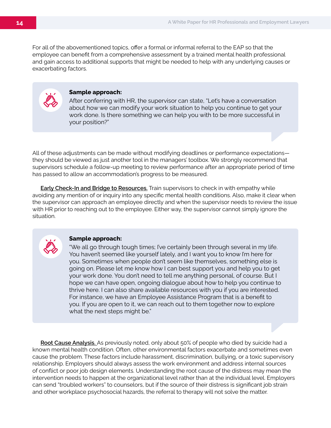For all of the abovementioned topics, offer a formal or informal referral to the EAP so that the employee can benefit from a comprehensive assessment by a trained mental health professional and gain access to additional supports that might be needed to help with any underlying causes or exacerbating factors.



#### **Sample approach:**

After conferring with HR, the supervisor can state, "Let's have a conversation about how we can modify your work situation to help you continue to get your work done. Is there something we can help you with to be more successful in your position?"

All of these adjustments can be made without modifying deadlines or performance expectations they should be viewed as just another tool in the managers' toolbox. We strongly recommend that supervisors schedule a follow-up meeting to review performance after an appropriate period of time has passed to allow an accommodation's progress to be measured.

**Early Check-In and Bridge to Resources.** Train supervisors to check in with empathy while avoiding any mention of or inquiry into any specific mental health conditions. Also, make it clear when the supervisor can approach an employee directly and when the supervisor needs to review the issue with HR prior to reaching out to the employee. Either way, the supervisor cannot simply ignore the situation.



#### **Sample approach:**

"We all go through tough times; I've certainly been through several in my life. You haven't seemed like yourself lately, and I want you to know I'm here for you. Sometimes when people don't seem like themselves, something else is going on. Please let me know how I can best support you and help you to get your work done. You don't need to tell me anything personal, of course. But I hope we can have open, ongoing dialogue about how to help you continue to thrive here. I can also share available resources with you if you are interested. For instance, we have an Employee Assistance Program that is a benefit to you. If you are open to it, we can reach out to them together now to explore what the next steps might be."

**Root Cause Analysis.** As previously noted, only about 50% of people who died by suicide had a known mental health condition. Often, other environmental factors exacerbate and sometimes even cause the problem. These factors include harassment, discrimination, bullying, or a toxic supervisory relationship. Employers should always assess the work environment and address internal sources of conflict or poor job design elements. Understanding the root cause of the distress may mean the intervention needs to happen at the organizational level rather than at the individual level. Employers can send "troubled workers" to counselors, but if the source of their distress is significant job strain and other workplace psychosocial hazards, the referral to therapy will not solve the matter.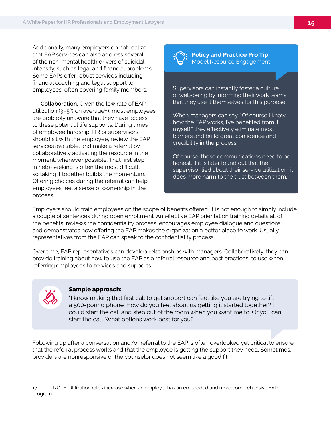Additionally, many employers do not realize that EAP services can also address several of the non-mental health drivers of suicidal intensity, such as legal and financial problems. Some EAPs offer robust services including financial coaching and legal support to employees, often covering family members.

**Collaboration.** Given the low rate of EAP utilization  $(3-5\%$  on average<sup>17</sup>), most employees are probably unaware that they have access to these potential life supports. During times of employee hardship, HR or supervisors should sit with the employee, review the EAP services available, and make a referral by collaboratively activating the resource in the moment, whenever possible. That first step in help-seeking is often the most difficult, so taking it together builds the momentum. Offering choices during the referral can help employees feel a sense of ownership in the process.



**Policy and Practice Pro Tip** Model Resource Engagement

Supervisors can instantly foster a culture of well-being by informing their work teams that they use it themselves for this purpose.

When managers can say, "Of course I know how the EAP works, I've benefited from it myself," they effectively eliminate most barriers and build great confidence and credibility in the process.

Of course, these communications need to be honest. If it is later found out that the supervisor lied about their service utilization, it does more harm to the trust between them.

Employers should train employees on the scope of benefits offered. It is not enough to simply include a couple of sentences during open enrollment. An effective EAP orientation training details all of the benefits, reviews the confidentiality process, encourages employee dialogue and questions, and demonstrates how offering the EAP makes the organization a better place to work. Usually, representatives from the EAP can speak to the confidentiality process.

Over time, EAP representatives can develop relationships with managers. Collaboratively, they can provide training about how to use the EAP as a referral resource and best practices to use when referring employees to services and supports.



#### **Sample approach:**

"I know making that first call to get support can feel like you are trying to lift a 500-pound phone. How do you feel about us getting it started together? I could start the call and step out of the room when you want me to. Or you can start the call. What options work best for you?"

Following up after a conversation and/or referral to the EAP is often overlooked yet critical to ensure that the referral process works and that the employee is getting the support they need. Sometimes, providers are nonresponsive or the counselor does not seem like a good fit.

<sup>17</sup> NOTE: Utilization rates increase when an employer has an embedded and more comprehensive EAP program.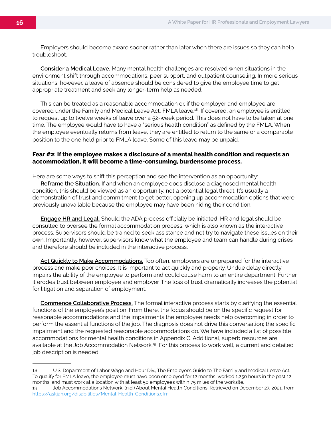Employers should become aware sooner rather than later when there are issues so they can help troubleshoot.

**Consider a Medical Leave.** Many mental health challenges are resolved when situations in the environment shift through accommodations, peer support, and outpatient counseling. In more serious situations, however, a leave of absence should be considered to give the employee time to get appropriate treatment and seek any longer-term help as needed.

This can be treated as a reasonable accommodation or, if the employer and employee are covered under the Family and Medical Leave Act, FMLA leave.18 If covered, an employee is entitled to request up to twelve weeks of leave over a 52-week period. This does not have to be taken at one time. The employee would have to have a "serious health condition" as defined by the FMLA. When the employee eventually returns from leave, they are entitled to return to the same or a comparable position to the one held prior to FMLA leave. Some of this leave may be unpaid.

#### **Fear #2: If the employee makes a disclosure of a mental health condition and requests an accommodation, it will become a time-consuming, burdensome process.**

Here are some ways to shift this perception and see the intervention as an opportunity:

**Reframe the Situation.** If and when an employee does disclose a diagnosed mental health condition, this should be viewed as an opportunity, not a potential legal threat. It's usually a demonstration of trust and commitment to get better, opening up accommodation options that were previously unavailable because the employee may have been hiding their condition.

**Engage HR and Legal.** Should the ADA process officially be initiated, HR and legal should be consulted to oversee the formal accommodation process, which is also known as the interactive process. Supervisors should be trained to seek assistance and not try to navigate these issues on their own. Importantly, however, supervisors know what the employee and team can handle during crises and therefore should be included in the interactive process.

**Act Quickly to Make Accommodations.** Too often, employers are unprepared for the interactive process and make poor choices. It is important to act quickly and properly. Undue delay directly impairs the ability of the employee to perform and could cause harm to an entire department. Further, it erodes trust between employee and employer. The loss of trust dramatically increases the potential for litigation and separation of employment.

**Commence Collaborative Process.** The formal interactive process starts by clarifying the essential functions of the employee's position. From there, the focus should be on the specific request for reasonable accommodations and the impairments the employee needs help overcoming in order to perform the essential functions of the job. The diagnosis does not drive this conversation; the specific impairment and the requested reasonable accommodations do. We have included a list of possible accommodations for mental health conditions in Appendix C. Additional, superb resources are available at the Job Accommodation Network.<sup>19</sup> For this process to work well, a current and detailed job description is needed.

<sup>18</sup> U.S. Department of Labor Wage and Hour Div., The Employer's Guide to The Family and Medical Leave Act. To qualify for FMLA leave, the employee must have been employed for 12 months, worked 1,250 hours in the past 12 months, and must work at a location with at least 50 employees within 75 miles of the worksite.

<sup>19</sup> Job Accommodations Network. (n.d.) About Mental Health Conditions. Retrieved on December 27, 2021, from https://askjan.org/disabilities/Mental-Health-Conditions.cfm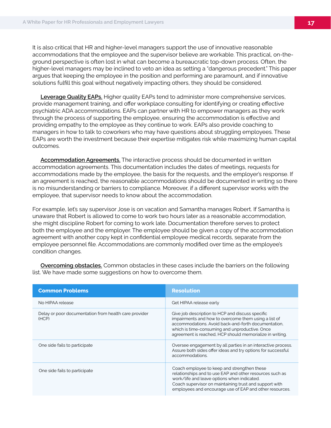It is also critical that HR and higher-level managers support the use of innovative reasonable accommodations that the employee and the supervisor believe are workable. This practical, on-theground perspective is often lost in what can become a bureaucratic top-down process. Often, the higher-level managers may be inclined to veto an idea as setting a "dangerous precedent." This paper argues that keeping the employee in the position and performing are paramount, and if innovative solutions fulfill this goal without negatively impacting others, they should be considered.

**Leverage Quality EAPs.** Higher quality EAPs tend to administer more comprehensive services, provide management training, and offer workplace consulting for identifying or creating effective psychiatric ADA accommodations. EAPs can partner with HR to empower managers as they work through the process of supporting the employee, ensuring the accommodation is effective and providing empathy to the employee as they continue to work. EAPs also provide coaching to managers in how to talk to coworkers who may have questions about struggling employees. These EAPs are worth the investment because their expertise mitigates risk while maximizing human capital outcomes.

**Accommodation Agreements.** The interactive process should be documented in written accommodation agreements. This documentation includes the dates of meetings, requests for accommodations made by the employee, the basis for the requests, and the employer's response. If an agreement is reached, the reasonable accommodations should be documented in writing so there is no misunderstanding or barriers to compliance. Moreover, if a different supervisor works with the employee, that supervisor needs to know about the accommodation.

For example, let's say supervisor Jose is on vacation and Samantha manages Robert. If Samantha is unaware that Robert is allowed to come to work two hours later as a reasonable accommodation, she might discipline Robert for coming to work late. Documentation therefore serves to protect both the employee and the employer. The employee should be given a copy of the accommodation agreement with another copy kept in confidential employee medical records, separate from the employee personnel file. Accommodations are commonly modified over time as the employee's condition changes.

| <b>Common Problems</b>                                         | <b>Resolution</b>                                                                                                                                                                                                                                                             |
|----------------------------------------------------------------|-------------------------------------------------------------------------------------------------------------------------------------------------------------------------------------------------------------------------------------------------------------------------------|
| No HIPAA release                                               | Get HIPAA release early                                                                                                                                                                                                                                                       |
| Delay or poor documentation from health care provider<br>(HCP) | Give job description to HCP and discuss specific<br>impairments and how to overcome them using a list of<br>accommodations. Avoid back-and-forth documentation.<br>which is time-consuming and unproductive. Once<br>agreement is reached. HCP should memorialize in writing. |
| One side fails to participate                                  | Oversee engagement by all parties in an interactive process.<br>Assure both sides offer ideas and try options for successful<br>accommodations.                                                                                                                               |
| One side fails to participate                                  | Coach employee to keep and strengthen these<br>relationships and to use EAP and other resources such as<br>work/life and leave options when indicated.<br>Coach supervisor on maintaining trust and support with<br>employees and encourage use of EAP and other resources.   |

**Overcoming obstacles.** Common obstacles in these cases include the barriers on the following list. We have made some suggestions on how to overcome them.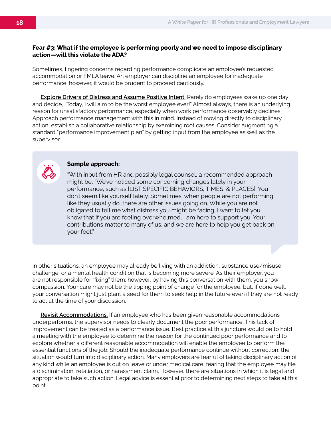#### **Fear #3: What if the employee is performing poorly and we need to impose disciplinary action—will this violate the ADA?**

Sometimes, lingering concerns regarding performance complicate an employee's requested accommodation or FMLA leave. An employer can discipline an employee for inadequate performance; however, it would be prudent to proceed cautiously.

**Explore Drivers of Distress and Assume Positive Intent.** Rarely do employees wake up one day and decide, "Today, I will aim to be the worst employee ever!" Almost always, there is an underlying reason for unsatisfactory performance, especially when work performance observably declines. Approach performance management with this in mind. Instead of moving directly to disciplinary action, establish a collaborative relationship by examining root causes. Consider augmenting a standard "performance improvement plan" by getting input from the employee as well as the supervisor.



#### **Sample approach:**

"With input from HR and possibly legal counsel, a recommended approach might be, "We've noticed some concerning changes lately in your performance, such as [LIST SPECIFIC BEHAVIORS, TIMES, & PLACES]. You don't seem like yourself lately. Sometimes, when people are not performing like they usually do, there are other issues going on. While you are not obligated to tell me what distress you might be facing, I want to let you know that if you are feeling overwhelmed, I am here to support you. Your contributions matter to many of us, and we are here to help you get back on your feet."

In other situations, an employee may already be living with an addiction, substance use/misuse challenge, or a mental health condition that is becoming more severe. As their employer, you are not responsible for "fixing" them; however, by having this conversation with them, you show compassion. Your care may not be the tipping point of change for the employee, but, if done well, your conversation might just plant a seed for them to seek help in the future even if they are not ready to act at the time of your discussion.

**Revisit Accommodations.** If an employee who has been given reasonable accommodations underperforms, the supervisor needs to clearly document the poor performance. This lack of improvement can be treated as a performance issue. Best practice at this juncture would be to hold a meeting with the employee to determine the reason for the continued poor performance and to explore whether a different reasonable accommodation will enable the employee to perform the essential functions of the job. Should the inadequate performance continue without correction, the situation would turn into disciplinary action. Many employers are fearful of taking disciplinary action of any kind while an employee is out on leave or under medical care, fearing that the employee may file a discrimination, retaliation, or harassment claim. However, there are situations in which it is legal and appropriate to take such action. Legal advice is essential prior to determining next steps to take at this point.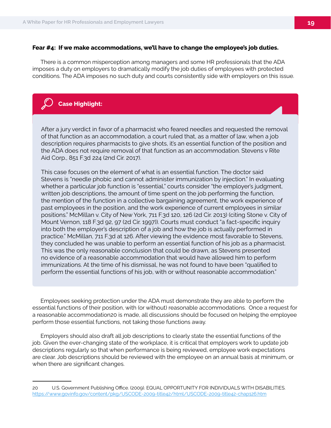#### **Fear #4: If we make accommodations, we'll have to change the employee's job duties.**

There is a common misperception among managers and some HR professionals that the ADA imposes a duty on employers to dramatically modify the job duties of employees with protected conditions. The ADA imposes no such duty and courts consistently side with employers on this issue.

#### **Case Highlight:**

After a jury verdict in favor of a pharmacist who feared needles and requested the removal of that function as an accommodation, a court ruled that, as a matter of law, when a job description requires pharmacists to give shots, it's an essential function of the position and the ADA does not require removal of that function as an accommodation. Stevens v Rite Aid Corp., 851 F.3d 224 (2nd Cir. 2017).

This case focuses on the element of what is an essential function. The doctor said Stevens is "needle phobic and cannot administer immunization by injection." In evaluating whether a particular job function is "essential," courts consider "the employer's judgment, written job descriptions, the amount of time spent on the job performing the function, the mention of the function in a collective bargaining agreement, the work experience of past employees in the position, and the work experience of current employees in similar positions." McMillan v. City of New York, 711 F.3d 120, 126 (2d Cir. 2013) (citing Stone v. City of Mount Vernon, 118 F.3d 92, 97 (2d Cir. 1997)). Courts must conduct "a fact-specific inquiry into both the employer's description of a job and how the job is actually performed in practice." McMillan, 711 F.3d at 126. After viewing the evidence most favorable to Stevens, they concluded he was unable to perform an essential function of his job as a pharmacist. This was the only reasonable conclusion that could be drawn, as Stevens presented no evidence of a reasonable accommodation that would have allowed him to perform immunizations. At the time of his dismissal, he was not found to have been "qualified to perform the essential functions of his job, with or without reasonable accommodation."

Employees seeking protection under the ADA must demonstrate they are able to perform the essential functions of their position, with (or without) reasonable accommodations. Once a request for a reasonable accommodation20 is made, all discussions should be focused on helping the employee perform those essential functions, not taking those functions away.

Employers should also draft all job descriptions to clearly state the essential functions of the job. Given the ever-changing state of the workplace, it is critical that employers work to update job descriptions regularly so that when performance is being reviewed, employee work expectations are clear. Job descriptions should be reviewed with the employee on an annual basis at minimum, or when there are significant changes.

<sup>20</sup> U.S. Government Publishing Office. (2009). EQUAL OPPORTUNITY FOR INDIVIDUALS WITH DISABILITIES. https://www.govinfo.gov/content/pkg/USCODE-2009-title42/html/USCODE-2009-title42-chap126.htm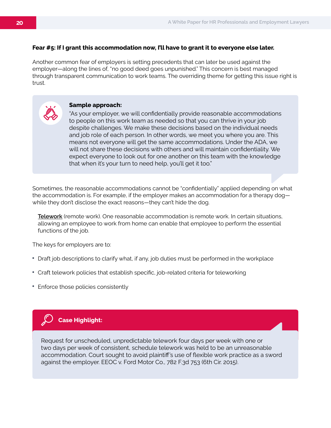#### **Fear #5: If I grant this accommodation now, I'll have to grant it to everyone else later.**

Another common fear of employers is setting precedents that can later be used against the employer—along the lines of, "no good deed goes unpunished." This concern is best managed through transparent communication to work teams. The overriding theme for getting this issue right is trust.

#### **Sample approach:**

"As your employer, we will confidentially provide reasonable accommodations to people on this work team as needed so that you can thrive in your job despite challenges. We make these decisions based on the individual needs and job role of each person. In other words, we meet you where you are. This means not everyone will get the same accommodations. Under the ADA, we will not share these decisions with others and will maintain confidentiality. We expect everyone to look out for one another on this team with the knowledge that when it's your turn to need help, you'll get it too."

Sometimes, the reasonable accommodations cannot be "confidentially" applied depending on what the accommodation is. For example, if the employer makes an accommodation for a therapy dog while they don't disclose the exact reasons—they can't hide the dog.

**Telework** (remote work). One reasonable accommodation is remote work. In certain situations, allowing an employee to work from home can enable that employee to perform the essential functions of the job.

The keys for employers are to:

- Draft job descriptions to clarify what, if any, job duties must be performed in the workplace
- Craft telework policies that establish specific, job-related criteria for teleworking
- Enforce those policies consistently



Request for unscheduled, unpredictable telework four days per week with one or two days per week of consistent, schedule telework was held to be an unreasonable accommodation. Court sought to avoid plaintiff's use of flexible work practice as a sword against the employer. EEOC v. Ford Motor Co., 782 F.3d 753 (6th Cir. 2015).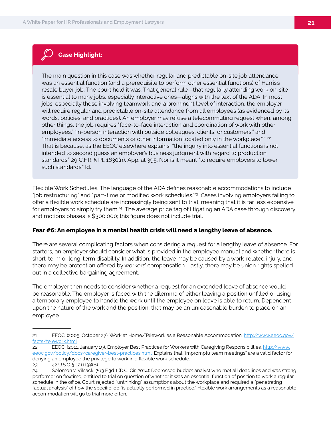### **Case Highlight:**

The main question in this case was whether regular and predictable on-site job attendance was an essential function (and a prerequisite to perform other essential functions) of Harris's resale buyer job. The court held it was. That general rule—that regularly attending work on-site is essential to many jobs, especially interactive ones—aligns with the text of the ADA. In most jobs, especially those involving teamwork and a prominent level of interaction, the employer will require regular and predictable on-site attendance from all employees (as evidenced by its words, policies, and practices). An employer may refuse a telecommuting request when, among other things, the job requires "face-to-face interaction and coordination of work with other employees," "in-person interaction with outside colleagues, clients, or customers," and "immediate access to documents or other information located only in the workplace."<sup>21 22</sup> That is because, as the EEOC elsewhere explains, "the inquiry into essential functions is not intended to second guess an employer's business judgment with regard to production standards." 29 C.F.R. § Pt. 1630(n), App. at 395. Nor is it meant "to require employers to lower such standards." Id.

Flexible Work Schedules. The language of the ADA defines reasonable accommodations to include "job restructuring" and "part-time or modified work schedules."<sup>23</sup> Cases involving employers failing to offer a flexible work schedule are increasingly being sent to trial, meaning that it is far less expensive for employers to simply try them.<sup>24</sup> The average price tag of litigating an ADA case through discovery and motions phases is \$300,000; this figure does not include trial.

#### **Fear #6: An employee in a mental health crisis will need a lengthy leave of absence.**

There are several complicating factors when considering a request for a lengthy leave of absence. For starters, an employer should consider what is provided in the employee manual and whether there is short-term or long-term disability. In addition, the leave may be caused by a work-related injury, and there may be protection offered by workers' compensation. Lastly, there may be union rights spelled out in a collective bargaining agreement.

The employer then needs to consider whether a request for an extended leave of absence would be reasonable. The employer is faced with the dilemma of either leaving a position unfilled or using a temporary employee to handle the work until the employee on leave is able to return. Dependent upon the nature of the work and the position, that may be an unreasonable burden to place on an employee.

<sup>21</sup> EEOC. (2005, October 27). Work at Home/Telework as a Reasonable Accommodation. http://www.eeoc.gov/ facts/telework.html

<sup>22</sup> EEOC. (2011, January 19). Employer Best Practices for Workers with Caregiving Responsibilities. http://www. eeoc.gov/policy/docs/caregiver-best-practices.html: Explains that "impromptu team meetings" are a valid factor for denying an employee the privilege to work in a flexible work schedule.

<sup>23</sup> 42 U.S.C. § 12111(9)(B)

<sup>24</sup> Solomon v. Vilsack, 763 F.3d 1 (D.C. Cir. 2014): Depressed budget analyst who met all deadlines and was strong performer on flextime, entitled to trial on question of whether it was an essential function of position to work a regular schedule in the office. Court rejected "unthinking" assumptions about the workplace and required a "penetrating factual analysis" of how the specific job "is actually performed in practice." Flexible work arrangements as a reasonable accommodation will go to trial more often.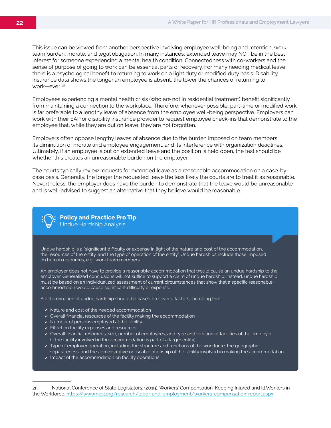This issue can be viewed from another perspective involving employee well-being and retention, work team burden, morale, and legal obligation. In many instances, extended leave may NOT be in the best interest for someone experiencing a mental health condition. Connectedness with co-workers and the sense of purpose of going to work can be essential parts of recovery. For many needing medical leave, there is a psychological benefit to returning to work on a light duty or modified duty basis. Disability insurance data shows the longer an employee is absent, the lower the chances of returning to work-ever.<sup>25</sup>

Employees experiencing a mental health crisis (who are not in residential treatment) benefit significantly from maintaining a connection to the workplace. Therefore, whenever possible, part-time or modified work is far preferable to a lengthy leave of absence from the employee well-being perspective. Employers can work with their EAP or disability insurance provider to request employee check-ins that demonstrate to the employee that, while they are out on leave, they are not forgotten.

Employers often oppose lengthy leaves of absence due to the burden imposed on team members, its diminution of morale and employee engagement, and its interference with organization deadlines. Ultimately, if an employee is out on extended leave and the position is held open, the test should be whether this creates an unreasonable burden on the employer.

The courts typically review requests for extended leave as a reasonable accommodation on a case-bycase basis. Generally, the longer the requested leave the less likely the courts are to treat it as reasonable. Nevertheless, the employer does have the burden to demonstrate that the leave would be unreasonable and is well-advised to suggest an alternative that they believe would be reasonable.



**Policy and Practice Pro Tip** Undue Hardship Analysis

Undue hardship is a "significant difficulty or expense in light of the nature and cost of the accommodation, the resources of the entity, and the type of operation of the entity." Undue hardships include those imposed on human resources, e.g., work team members.

An employer does not have to provide a reasonable accommodation that would cause an undue hardship to the employer. Generalized conclusions will not suffice to support a claim of undue hardship. Instead, undue hardship must be based on an individualized assessment of current circumstances that show that a specific reasonable accommodation would cause significant difficulty or expense.

A determination of undue hardship should be based on several factors, including the:

- $\checkmark$  Nature and cost of the needed accommodation
- $\checkmark$  Overall financial resources of the facility making the accommodation
- $\checkmark$  Number of persons employed at the facility
- $\checkmark$  Effect on facility expenses and resources
- Overall financial resources, size, number of employees, and type and location of facilities of the employer (if the facility involved in the accommodation is part of a larger entity)
- Type of employer operation, including the structure and functions of the workforce, the geographic separateness, and the administrative or fiscal relationship of the facility involved in making the accommodation
- $\checkmark$  Impact of the accommodation on facility operations

<sup>25</sup> National Conference of State Legislators. (2019). Workers' Compensation: Keeping Injured and Ill Workers in the Workforce. https://www.ncsl.org/research/labor-and-employment/workers-compensation-report.aspx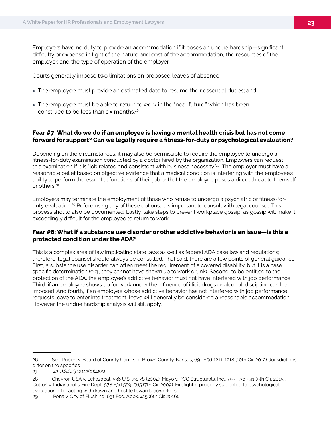Employers have no duty to provide an accommodation if it poses an undue hardship—significant difficulty or expense in light of the nature and cost of the accommodation, the resources of the employer, and the type of operation of the employer.

Courts generally impose two limitations on proposed leaves of absence:

- The employee must provide an estimated date to resume their essential duties; and
- The employee must be able to return to work in the "near future," which has been construed to be less than six months.<sup>26</sup>

#### **Fear #7: What do we do if an employee is having a mental health crisis but has not come forward for support? Can we legally require a fitness-for-duty or psychological evaluation?**

Depending on the circumstances, it may also be permissible to require the employee to undergo a fitness-for-duty examination conducted by a doctor hired by the organization. Employers can request this examination if it is "job related and consistent with business necessity."<sup>27</sup> The employer must have a reasonable belief based on objective evidence that a medical condition is interfering with the employee's ability to perform the essential functions of their job or that the employee poses a direct threat to themself or others.28

Employers may terminate the employment of those who refuse to undergo a psychiatric or fitness-forduty evaluation.<sup>29</sup> Before using any of these options, it is important to consult with legal counsel. This process should also be documented. Lastly, take steps to prevent workplace gossip, as gossip will make it exceedingly difficult for the employee to return to work.

#### **Fear #8: What if a substance use disorder or other addictive behavior is an issue—is this a protected condition under the ADA?**

This is a complex area of law implicating state laws as well as federal ADA case law and regulations; therefore, legal counsel should always be consulted. That said, there are a few points of general guidance. First, a substance use disorder can often meet the requirement of a covered disability, but it is a case specific determination (e.g., they cannot have shown up to work drunk). Second, to be entitled to the protection of the ADA, the employee's addictive behavior must not have interfered with job performance. Third, if an employee shows up for work under the influence of illicit drugs or alcohol, discipline can be imposed. And fourth, if an employee whose addictive behavior has not interfered with job performance requests leave to enter into treatment, leave will generally be considered a reasonable accommodation. However, the undue hardship analysis will still apply.

<sup>26</sup> See Robert v. Board of County Com'rs of Brown County, Kansas, 691 F.3d 1211, 1218 (10th Cir. 2012). Jurisdictions differ on the specifics

<sup>27 42</sup> U.S.C. § 12112(d)(4)(A)

<sup>28</sup> Chevron USA v. Echazabal, 536 U.S. 73, 78 (2002); Mayo v. PCC Structurals, Inc., 795 F.3d 941 (9th Cir. 2015); Cotton v. Indianapolis Fire Dept, 578 F3d 559, 565 (7th Cir. 2009): Firefighter properly subjected to psychological evaluation after acting withdrawn and hostile towards coworkers.

<sup>29</sup> Pena v. City of Flushing, 651 Fed. Appx. 415 (6th Cir. 2016).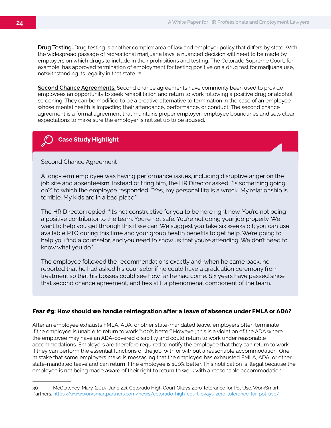**Drug Testing.** Drug testing is another complex area of law and employer policy that differs by state. With the widespread passage of recreational marijuana laws, a nuanced decision will need to be made by employers on which drugs to include in their prohibitions and testing. The Colorado Supreme Court, for example, has approved termination of employment for testing positive on a drug test for marijuana use, notwithstanding its legality in that state. 30

**Second Chance Agreements.** Second chance agreements have commonly been used to provide employees an opportunity to seek rehabilitation and return to work following a positive drug or alcohol screening. They can be modified to be a creative alternative to termination in the case of an employee whose mental health is impacting their attendance, performance, or conduct. The second chance agreement is a formal agreement that maintains proper employer–employee boundaries and sets clear expectations to make sure the employer is not set up to be abused.

#### **Case Study Highlight**

#### Second Chance Agreement

A long-term employee was having performance issues, including disruptive anger on the job site and absenteeism. Instead of firing him, the HR Director asked, "Is something going on?" to which the employee responded, "Yes, my personal life is a wreck. My relationship is terrible. My kids are in a bad place."

The HR Director replied, "It's not constructive for you to be here right now. You're not being a positive contributor to the team. You're not safe. You're not doing your job properly. We want to help you get through this if we can. We suggest you take six weeks off; you can use available PTO during this time and your group health benefits to get help. We're going to help you find a counselor, and you need to show us that you're attending. We don't need to know what you do."

The employee followed the recommendations exactly and, when he came back, he reported that he had asked his counselor if he could have a graduation ceremony from treatment so that his bosses could see how far he had come. Six years have passed since that second chance agreement, and he's still a phenomenal component of the team.

#### **Fear #9: How should we handle reintegration after a leave of absence under FMLA or ADA?**

After an employee exhausts FMLA, ADA, or other state-mandated leave, employers often terminate if the employee is unable to return to work "100% better." However, this is a violation of the ADA where the employee may have an ADA-covered disability and could return to work under reasonable accommodations. Employers are therefore required to notify the employee that they can return to work if they can perform the essential functions of the job, with or without a reasonable accommodation. One mistake that some employers make is messaging that the employee has exhausted FMLA, ADA, or other state-mandated leave and can return if the employee is 100% better. This notification is illegal because the employee is not being made aware of their right to return to work with a reasonable accommodation.

<sup>30</sup> McClatchey, Mary. (2015, June 22). Colorado High Court Okays Zero Tolerance for Pot Use. WorkSmart Partners. https://www.worksmartpartners.com/news/colorado-high-court-okays-zero-tolerance-for-pot-use/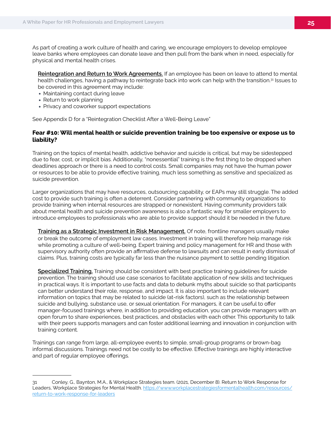As part of creating a work culture of health and caring, we encourage employers to develop employee leave banks where employees can donate leave and then pull from the bank when in need, especially for physical and mental health crises.

**Reintegration and Return to Work Agreements.** If an employee has been on leave to attend to mental health challenges, having a pathway to reintegrate back into work can help with the transition.<sup>31</sup> Issues to be covered in this agreement may include:

- Maintaining contact during leave
- Return to work planning
- Privacy and coworker support expectations

See Appendix D for a "Reintegration Checklist After a Well-Being Leave"

#### **Fear #10: Will mental health or suicide prevention training be too expensive or expose us to liability?**

Training on the topics of mental health, addictive behavior and suicide is critical, but may be sidestepped due to fear, cost, or implicit bias. Additionally, "nonessential" training is the first thing to be dropped when deadlines approach or there is a need to control costs. Small companies may not have the human power or resources to be able to provide effective training, much less something as sensitive and specialized as suicide prevention.

Larger organizations that may have resources, outsourcing capability, or EAPs may still struggle. The added cost to provide such training is often a deterrent. Consider partnering with community organizations to provide training when internal resources are strapped or nonexistent. Having community providers talk about mental health and suicide prevention awareness is also a fantastic way for smaller employers to introduce employees to professionals who are able to provide support should it be needed in the future.

**Training as a Strategic Investment in Risk Management.** Of note, frontline managers usually make or break the outcome of employment law cases. Investment in training will therefore help manage risk while promoting a culture of well-being. Expert training and policy management for HR and those with supervisory authority often provide an affirmative defense to lawsuits and can result in early dismissal of claims. Plus, training costs are typically far less than the nuisance payment to settle pending litigation.

**Specialized Training.** Training should be consistent with best practice training guidelines for suicide prevention. The training should use case scenarios to facilitate application of new skills and techniques in practical ways. It is important to use facts and data to debunk myths about suicide so that participants can better understand their role, response, and impact. It is also important to include relevant information on topics that may be related to suicide (at-risk factors), such as the relationship between suicide and bullying, substance use, or sexual orientation. For managers, it can be useful to offer manager-focused trainings where, in addition to providing education, you can provide managers with an open forum to share experiences, best practices, and obstacles with each other. This opportunity to talk with their peers supports managers and can foster additional learning and innovation in conjunction with training content.

Trainings can range from large, all-employee events to simple, small-group programs or brown-bag informal discussions. Trainings need not be costly to be effective. Effective trainings are highly interactive and part of regular employee offerings.

<sup>31</sup> Conley, G., Baynton, M.A., & Workplace Strategies team. (2021, December 8). Return to Work Response for Leaders, Workplace Strategies for Mental Health. https://www.workplacestrategiesformentalhealth.com/resources/ return-to-work-response-for-leaders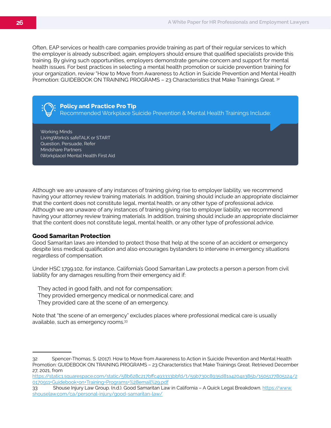Often, EAP services or health care companies provide training as part of their regular services to which the employer is already subscribed; again, employers should ensure that qualified specialists provide this training. By giving such opportunities, employers demonstrate genuine concern and support for mental health issues. For best practices in selecting a mental health promotion or suicide prevention training for your organization, review "How to Move from Awareness to Action in Suicide Prevention and Mental Health Promotion: GUIDEBOOK ON TRAINING PROGRAMS - 23 Characteristics that Make Trainings Great. 32

**Policy and Practice Pro Tip** Recommended Workplace Suicide Prevention & Mental Health Trainings Include:

Working Minds LivingWorks's safeTALK or START Question, Persuade, Refer Mindshare Partners (Workplace) Mental Health First Aid

Although we are unaware of any instances of training giving rise to employer liability, we recommend having your attorney review training materials. In addition, training should include an appropriate disclaimer that the content does not constitute legal, mental health, or any other type of professional advice. Although we are unaware of any instances of training giving rise to employer liability, we recommend having your attorney review training materials. In addition, training should include an appropriate disclaimer that the content does not constitute legal, mental health, or any other type of professional advice.

#### **Good Samaritan Protection**

Good Samaritan laws are intended to protect those that help at the scene of an accident or emergency despite less medical qualification and also encourages bystanders to intervene in emergency situations regardless of compensation.

Under HSC 1799.102, for instance, California's Good Samaritan Law protects a person a person from civil liability for any damages resulting from their emergency aid if:

They acted in good faith, and not for compensation; They provided emergency medical or nonmedical care; and They provided care at the scene of an emergency.

Note that "the scene of an emergency" excludes places where professional medical care is usually available, such as emergency rooms.33

<sup>32</sup> Spencer-Thomas, S. (2017). How to Move from Awareness to Action in Suicide Prevention and Mental Health Promotion: GUIDEBOOK ON TRAINING PROGRAMS – 23 Characteristics that Make Trainings Great. Retrieved December 27, 2021, from

https://static1.squarespace.com/static/58b628c217bffc493333bbfd/t/59b730c8935d81a4204a385b/1505177805124/2 0170911+Guidebook+on+Training+Programs+%28email%29.pdf

<sup>33</sup> Shouse Injury Law Group. (n.d.). Good Samaritan Law in California - A Quick Legal Breakdown. https://www. shouselaw.com/ca/personal-injury/good-samaritan-law/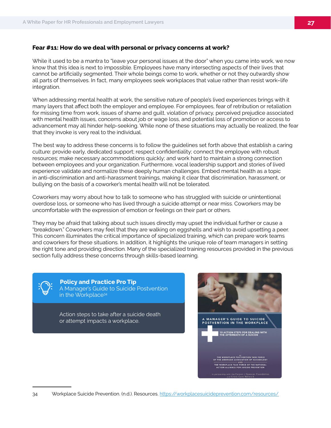#### **Fear #11: How do we deal with personal or privacy concerns at work?**

While it used to be a mantra to "leave your personal issues at the door" when you came into work, we now know that this idea is next to impossible. Employees have many intersecting aspects of their lives that cannot be artificially segmented. Their whole beings come to work, whether or not they outwardly show all parts of themselves. In fact, many employees seek workplaces that value rather than resist work–life integration.

When addressing mental health at work, the sensitive nature of people's lived experiences brings with it many layers that affect both the employer and employee. For employees, fear of retribution or retaliation for missing time from work, issues of shame and guilt, violation of privacy, perceived prejudice associated with mental health issues, concerns about job or wage loss, and potential loss of promotion or access to advancement may all hinder help-seeking. While none of these situations may actually be realized, the fear that they invoke is very real to the individual.

The best way to address these concerns is to follow the guidelines set forth above that establish a caring culture: provide early, dedicated support; respect confidentiality; connect the employee with robust resources; make necessary accommodations quickly; and work hard to maintain a strong connection between employees and your organization. Furthermore, vocal leadership support and stories of lived experience validate and normalize these deeply human challenges. Embed mental health as a topic in anti-discrimination and anti-harassment trainings, making it clear that discrimination, harassment, or bullying on the basis of a coworker's mental health will not be tolerated.

Coworkers may worry about how to talk to someone who has struggled with suicide or unintentional overdose loss, or someone who has lived through a suicide attempt or near miss. Coworkers may be uncomfortable with the expression of emotion or feelings on their part or others.

They may be afraid that talking about such issues directly may upset the individual further or cause a "breakdown." Coworkers may feel that they are walking on eggshells and wish to avoid upsetting a peer. This concern illuminates the critical importance of specialized training, which can prepare work teams and coworkers for these situations. In addition, it highlights the unique role of team managers in setting the right tone and providing direction. Many of the specialized training resources provided in the previous section fully address these concerns through skills-based learning.



 **Policy and Practice Pro Tip** A Manager's Guide to Suicide Postvention in the Workplace34

Action steps to take after a suicide death or attempt impacts a workplace.

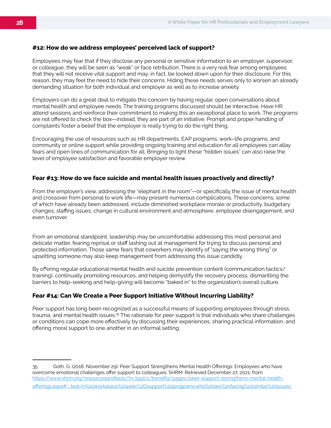#### **#12: How do we address employees' perceived lack of support?**

Employees may fear that if they disclose any personal or sensitive information to an employer, supervisor, or colleague, they will be seen as "weak" or face retribution. There is a very real fear among employees that they will not receive vital support and may, in fact, be looked down upon for their disclosure. For this reason, they may feel the need to hide their concerns. Hiding these needs serves only to worsen an already demanding situation for both individual and employer as well as to increase anxiety.

Employers can do a great deal to mitigate this concern by having regular, open conversations about mental health and employee needs. The training programs discussed should be interactive. Have HR attend sessions and reinforce their commitment to making this an exceptional place to work. The programs are not offered to check the box—instead, they are part of an initiative. Prompt and proper handling of complaints foster a belief that the employer is really trying to do the right thing.

Encouraging the use of resources such as HR departments, EAP programs, work–life programs, and community or online support while providing ongoing training and education for all employees can allay fears and open lines of communication for all. Bringing to light these "hidden issues" can also raise the level of employee satisfaction and favorable employer review.

#### **Fear #13: How do we face suicide and mental health issues proactively and directly?**

From the employer's view, addressing the "elephant in the room"—or specifically the issue of mental health and crossover from personal to work life—may present numerous complications. These concerns, some of which have already been addressed, include diminished workplace morale or productivity, budgetary changes, staffing issues, change in cultural environment and atmosphere, employee disengagement, and even turnover.

From an emotional standpoint, leadership may be uncomfortable addressing this most personal and delicate matter, fearing reprisal or staff lashing out at management for trying to discuss personal and protected information. Those same fears that coworkers may identify of "saying the wrong thing" or upsetting someone may also keep management from addressing this issue candidly.

By offering regular educational mental health and suicide prevention content (communication tactics/ training), continually promoting resources, and helping demystify the recovery process, dismantling the barriers to help-seeking and help-giving will become "baked in" to the organization's overall culture.

#### **Fear #14: Can We Create a Peer Support Initiative Without Incurring Liability?**

Peer support has long been recognized as a successful means of supporting employees through stress, trauma, and mental health issues.35 The rationale for peer support is that individuals who share challenges or conditions can cope more effectively by discussing their experiences, sharing practical information, and offering moral support to one another in an informal setting.

35 Goth, G. (2018, November 29). Peer Support Strengthens Mental Health Offerings: Employees who have overcome emotional challenges offer support to colleagues. SHRM. Retrieved December 27, 2021, from https://www.shrm.org/resourcesandtools/hr-topics/benefits/pages/peer-support-strengthens-mental-healthofferings.aspx#:~:text=In%20workplace%20peer%2Dsupport%20programs,who%20are%20facing%20similar%20issues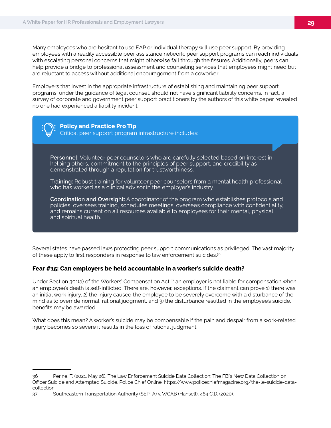Many employees who are hesitant to use EAP or individual therapy will use peer support. By providing employees with a readily accessible peer assistance network, peer support programs can reach individuals with escalating personal concerns that might otherwise fall through the fissures. Additionally, peers can help provide a bridge to professional assessment and counseling services that employees might need but are reluctant to access without additional encouragement from a coworker.

Employers that invest in the appropriate infrastructure of establishing and maintaining peer support programs, under the guidance of legal counsel, should not have significant liability concerns. In fact, a survey of corporate and government peer support practitioners by the authors of this white paper revealed no one had experienced a liability incident.

**Policy and Practice Pro Tip** Critical peer support program infrastructure includes:

**Personnel:** Volunteer peer counselors who are carefully selected based on interest in helping others, commitment to the principles of peer support, and credibility as demonstrated through a reputation for trustworthiness.

**Training:** Robust training for volunteer peer counselors from a mental health professional who has worked as a clinical advisor in the employer's industry.

**Coordination and Oversight:** A coordinator of the program who establishes protocols and policies, oversees training, schedules meetings, oversees compliance with confidentiality, and remains current on all resources available to employees for their mental, physical, and spiritual health.

Several states have passed laws protecting peer support communications as privileged. The vast majority of these apply to first responders in response to law enforcement suicides.<sup>36</sup>

#### **Fear #15: Can employers be held accountable in a worker's suicide death?**

Under Section 301(a) of the Workers' Compensation Act,<sup>37</sup> an employer is not liable for compensation when an employee's death is self-inflicted. There are, however, exceptions. If the claimant can prove 1) there was an initial work injury, 2) the injury caused the employee to be severely overcome with a disturbance of the mind as to override normal, rational judgment, and 3) the disturbance resulted in the employee's suicide, benefits may be awarded.

What does this mean? A worker's suicide may be compensable if the pain and despair from a work-related injury becomes so severe it results in the loss of rational judgment.

<sup>36</sup> Perine, T. (2021, May 26). The Law Enforcement Suicide Data Collection: The FBI's New Data Collection on Officer Suicide and Attempted Suicide. Police Chief Online. https://www.policechiefmagazine.org/the-le-suicide-datacollection

<sup>37</sup> Southeastern Transportation Authority (SEPTA) v. WCAB (Hansell), 464 C.D. (2020).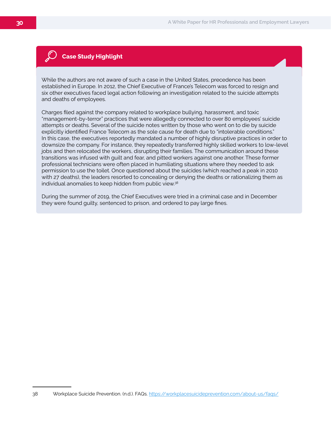#### **Case Study Highlight**

While the authors are not aware of such a case in the United States, precedence has been established in Europe. In 2012, the Chief Executive of France's Telecom was forced to resign and six other executives faced legal action following an investigation related to the suicide attempts and deaths of employees.

Charges filed against the company related to workplace bullying, harassment, and toxic "management-by-terror" practices that were allegedly connected to over 80 employees' suicide attempts or deaths. Several of the suicide notes written by those who went on to die by suicide explicitly identified France Telecom as the sole cause for death due to "intolerable conditions." In this case, the executives reportedly mandated a number of highly disruptive practices in order to downsize the company. For instance, they repeatedly transferred highly skilled workers to low-level jobs and then relocated the workers, disrupting their families. The communication around these transitions was infused with guilt and fear, and pitted workers against one another. These former professional technicians were often placed in humiliating situations where they needed to ask permission to use the toilet. Once questioned about the suicides (which reached a peak in 2010 with 27 deaths), the leaders resorted to concealing or denying the deaths or rationalizing them as individual anomalies to keep hidden from public view.38

During the summer of 2019, the Chief Executives were tried in a criminal case and in December they were found guilty, sentenced to prison, and ordered to pay large fines.

<sup>38</sup> Workplace Suicide Prevention. (n.d.). FAQs. https://workplacesuicideprevention.com/about-us/faqs/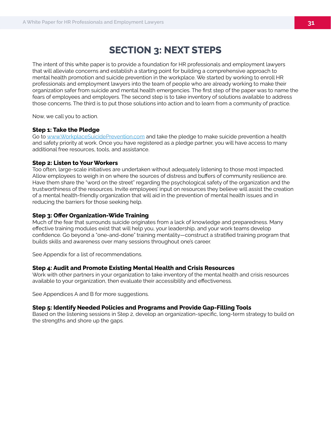# **SECTION 3: NEXT STEPS**

The intent of this white paper is to provide a foundation for HR professionals and employment lawyers that will alleviate concerns and establish a starting point for building a comprehensive approach to mental health promotion and suicide prevention in the workplace. We started by working to enroll HR professionals and employment lawyers into the team of people who are already working to make their organization safer from suicide and mental health emergencies. The first step of the paper was to name the fears of employees and employers. The second step is to take inventory of solutions available to address those concerns. The third is to put those solutions into action and to learn from a community of practice.

Now, we call you to action.

#### **Step 1: Take the Pledge**

Go to www.WorkplaceSuicidePrevention.com and take the pledge to make suicide prevention a health and safety priority at work. Once you have registered as a pledge partner, you will have access to many additional free resources, tools, and assistance.

#### **Step 2: Listen to Your Workers**

Too often, large-scale initiatives are undertaken without adequately listening to those most impacted. Allow employees to weigh in on where the sources of distress and buffers of community resilience are. Have them share the "word on the street" regarding the psychological safety of the organization and the trustworthiness of the resources. Invite employees' input on resources they believe will assist the creation of a mental health-friendly organization that will aid in the prevention of mental health issues and in reducing the barriers for those seeking help.

#### **Step 3: Offer Organization-Wide Training**

Much of the fear that surrounds suicide originates from a lack of knowledge and preparedness. Many effective training modules exist that will help you, your leadership, and your work teams develop confidence. Go beyond a "one-and-done" training mentality—construct a stratified training program that builds skills and awareness over many sessions throughout one's career.

See Appendix for a list of recommendations.

#### **Step 4: Audit and Promote Existing Mental Health and Crisis Resources**

Work with other partners in your organization to take inventory of the mental health and crisis resources available to your organization, then evaluate their accessibility and effectiveness.

See Appendices A and B for more suggestions.

#### **Step 5: Identify Needed Policies and Programs and Provide Gap-Filling Tools**

Based on the listening sessions in Step 2, develop an organization-specific, long-term strategy to build on the strengths and shore up the gaps.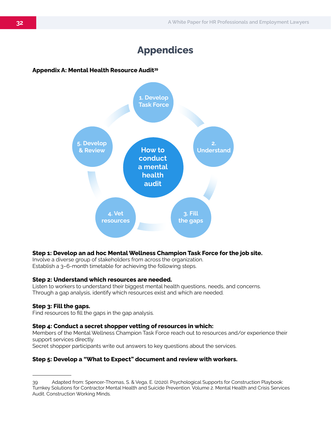# **Appendices**

#### **Appendix A: Mental Health Resource Audit39**



#### **Step 1: Develop an ad hoc Mental Wellness Champion Task Force for the job site.**

Involve a diverse group of stakeholders from across the organization. Establish a 3–6-month timetable for achieving the following steps.

#### **Step 2: Understand which resources are needed.**

Listen to workers to understand their biggest mental health questions, needs, and concerns. Through a gap analysis, identify which resources exist and which are needed.

#### **Step 3: Fill the gaps.**

Find resources to fill the gaps in the gap analysis.

#### **Step 4: Conduct a secret shopper vetting of resources in which:**

Members of the Mental Wellness Champion Task Force reach out to resources and/or experience their support services directly.

Secret shopper participants write out answers to key questions about the services.

#### **Step 5: Develop a "What to Expect" document and review with workers.**

<sup>39</sup> Adapted from: Spencer-Thomas, S. & Vega, E. (2020). Psychological Supports for Construction Playbook: Turnkey Solutions for Contractor Mental Health and Suicide Prevention. Volume 2. Mental Health and Crisis Services Audit. Construction Working Minds.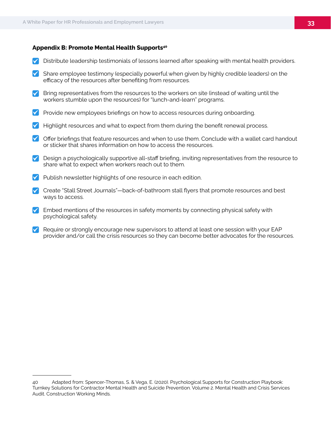#### **Appendix B: Promote Mental Health Supports40**

- $\blacktriangledown$  Distribute leadership testimonials of lessons learned after speaking with mental health providers.
- Share employee testimony (especially powerful when given by highly credible leaders) on the efficacy of the resources after benefiting from resources.
- $\triangledown$  Bring representatives from the resources to the workers on site (instead of waiting until the workers stumble upon the resources) for "lunch-and-learn" programs.
- **Y** Provide new employees briefings on how to access resources during onboarding.
- $\blacktriangledown$  Highlight resources and what to expect from them during the benefit renewal process.
- $\blacktriangleright$  Offer briefings that feature resources and when to use them. Conclude with a wallet card handout or sticker that shares information on how to access the resources.
- **Design a psychologically supportive all-staff briefing, inviting representatives from the resource to** share what to expect when workers reach out to them.
- $\vee$  Publish newsletter highlights of one resource in each edition.
- $\vee$  Create "Stall Street Journals"—back-of-bathroom stall flyers that promote resources and best ways to access.
- $\blacktriangleright$  Embed mentions of the resources in safety moments by connecting physical safety with psychological safety.
- $\blacktriangledown$  Require or strongly encourage new supervisors to attend at least one session with your EAP provider and/or call the crisis resources so they can become better advocates for the resources.

<sup>40</sup> Adapted from: Spencer-Thomas, S. & Vega, E. (2020). Psychological Supports for Construction Playbook: Turnkey Solutions for Contractor Mental Health and Suicide Prevention. Volume 2. Mental Health and Crisis Services Audit. Construction Working Minds.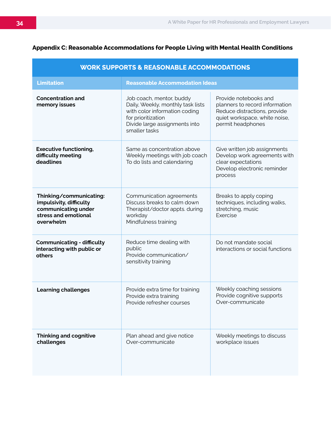| <b>WORK SUPPORTS &amp; REASONABLE ACCOMMODATIONS</b>                                                           |                                                                                                                                                                        |                                                                                                                                               |  |
|----------------------------------------------------------------------------------------------------------------|------------------------------------------------------------------------------------------------------------------------------------------------------------------------|-----------------------------------------------------------------------------------------------------------------------------------------------|--|
| <b>Limitation</b>                                                                                              | <b>Reasonable Accommodation Ideas</b>                                                                                                                                  |                                                                                                                                               |  |
| <b>Concentration and</b><br>memory issues                                                                      | Job coach, mentor, buddy<br>Daily, Weekly, monthly task lists<br>with color information coding<br>for prioritization<br>Divide large assignments into<br>smaller tasks | Provide notebooks and<br>planners to record information<br>Reduce distractions, provide<br>quiet workspace, white noise,<br>permit headphones |  |
| <b>Executive functioning,</b><br>difficulty meeting<br>deadlines                                               | Same as concentration above<br>Weekly meetings with job coach<br>To do lists and calendaring                                                                           | Give written job assignments<br>Develop work agreements with<br>clear expectations<br>Develop electronic reminder<br>process                  |  |
| Thinking/communicating:<br>impulsivity, difficulty<br>communicating under<br>stress and emotional<br>overwhelm | Communication agreements<br>Discuss breaks to calm down<br>Therapist/doctor appts. during<br>workday<br>Mindfulness training                                           | Breaks to apply coping<br>techniques, including walks,<br>stretching, music<br>Exercise                                                       |  |
| <b>Communicating - difficulty</b><br>interacting with public or<br>others                                      | Reduce time dealing with<br>public<br>Provide communication/<br>sensitivity training                                                                                   | Do not mandate social<br>interactions or social functions                                                                                     |  |
| <b>Learning challenges</b>                                                                                     | Provide extra time for training<br>Provide extra training<br>Provide refresher courses                                                                                 | Weekly coaching sessions<br>Provide cognitive supports<br>Over-communicate                                                                    |  |
| <b>Thinking and cognitive</b><br>challenges                                                                    | Plan ahead and give notice<br>Over-communicate                                                                                                                         | Weekly meetings to discuss<br>workplace issues                                                                                                |  |

#### **Appendix C: Reasonable Accommodations for People Living with Mental Health Conditions**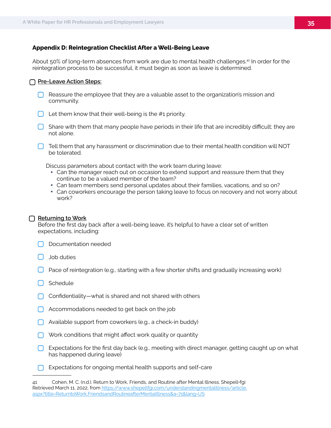#### **Appendix D: Reintegration Checklist After a Well-Being Leave**

About 50% of long-term absences from work are due to mental health challenges.<sup>41</sup> In order for the reintegration process to be successful, it must begin as soon as leave is determined.

#### **Pre-Leave Action Steps:**

- $\Box$  Reassure the employee that they are a valuable asset to the organization's mission and community.
- $\Box$  Let them know that their well-being is the #1 priority.
- $\Box$  Share with them that many people have periods in their life that are incredibly difficult; they are not alone.
- $\Box$  Tell them that any harassment or discrimination due to their mental health condition will NOT be tolerated.

Discuss parameters about contact with the work team during leave:

- Can the manager reach out on occasion to extend support and reassure them that they continue to be a valued member of the team?
- Can team members send personal updates about their families, vacations, and so on?
- Can coworkers encourage the person taking leave to focus on recovery and not worry about work?

#### **Returning to Work**

Before the first day back after a well-being leave, it's helpful to have a clear set of written expectations, including:

- Documentation needed
- Job duties
- $\Box$  Pace of reintegration (e.g., starting with a few shorter shifts and gradually increasing work)
- $\bigcap$  Schedule
- Confidentiality—what is shared and not shared with others
- $\Box$  Accommodations needed to get back on the job
- Available support from coworkers (e.g., a check-in buddy)
- $\bigcap$  Work conditions that might affect work quality or quantity
- Expectations for the first day back (e.g., meeting with direct manager, getting caught up on what has happened during leave)
- $\Box$  Expectations for ongoing mental health supports and self-care

<sup>41</sup> Cohen, M. C. (n.d.). Return to Work, Friends, and Routine after Mental Illness. Shepell•fgi Retrieved March 11, 2022, from https://www.shepellfgi.com/understandingmentalillness/article. aspx?title=ReturntoWork,FriendsandRoutineafterMentalIllness&a=71&lang=US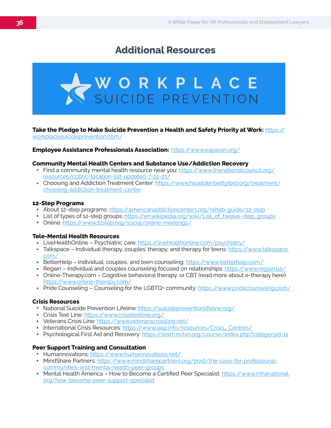# **Additional Resources**



#### **Take the Pledge to Make Suicide Prevention a Health and Safety Priority at Work:** https:// workplacesuicideprevention.com/

#### **Employee Assistance Professionals Association:** https://www.eapassn.org/

#### **Community Mental Health Centers and Substance Use/Addiction Recovery**

- Find a community mental health resource near you: https://www.thenationalcouncil.org/ resources/ccbhc-location-list-updated-7-22-21/
- Choosing and Addiction Treatment Center: https://www.hazeldenbettyford.org/treatment/ choosing-addiction-treatment-center

#### **12-Step Programs**

- About 12-step programs: https://americanaddictioncenters.org/rehab-guide/12-step
- List of types of 12-step groups: https://en.wikipedia.org/wiki/List\_of\_twelve-step\_groups
- Online: https://www.12step.org/social/online-meetings/

#### **Tele-Mental Health Resources**

- LiveHealthOnline Psychiatric care: https://livehealthonline.com/psychiatry/
- Talkspace Individual therapy, couples' therapy, and therapy for teens: https://www.talkspace. com/
- BetterHelp Individual, couples, and teen counseling; https://www.betterhelp.com/
- Regain Individual and couples counseling focused on relationships: https://www.regain.us/
- Online-Therapy.com Cognitive behavioral therapy, or CBT (read more about e-therapy here): https://www.online-therapy.com/
- Pride Counseling Counseling for the LGBTQ+ community: https://www.pridecounseling.com/

#### **Crisis Resources**

- National Suicide Prevention Lifeline: https://suicidepreventionlifeline.org/
- Crisis Text Line: https://www.crisistextline.org/
- Veterans Crisis Line: https://www.veteranscrisisline.net/
- International Crisis Resources: https://www.iasp.info/resources/Crisis\_Centres/
- Psychological First Aid and Recovery: https://learn.nctsn.org/course/index.php?categoryid=11

#### **Peer Support Training and Consultation**

- Humannovations: https://www.humannovations.net/
- MindShare Partners: https://www.mindsharepartners.org/post/the-case-for-professionalcommunities-and-mental-health-peer-groups
- Mental Health America How to Become a Certified Peer Specialist: https://www.mhanational. org/how-become-peer-support-specialist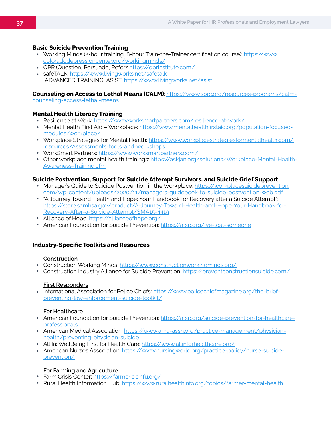#### **Basic Suicide Prevention Training**

- Working Minds (2-hour training, 8-hour Train-the-Trainer certification course): https://www. coloradodepressioncenter.org/workingminds/
- QPR (Question, Persuade, Refer): https://qprinstitute.com/
- safeTALK: https://www.livingworks.net/safetalk [ADVANCED TRAINING] ASIST: https://www.livingworks.net/asist

#### **Counseling on Access to Lethal Means (CALM)**: https://www.sprc.org/resources-programs/calm-

counseling-access-lethal-means

#### **Mental Health Literacy Training**

- Resilience at Work: https://www.worksmartpartners.com/resilience-at-work/
- Mental Health First Aid Workplace: https://www.mentalhealthfirstaid.org/population-focusedmodules/workplace/
- Workplace Strategies for Mental Health: https://www.workplacestrategiesformentalhealth.com/ resources/Assessments-tools-and-workshops
- WorkSmart Partners: https://www.worksmartpartners.com/
- Other workplace mental health trainings: https://askjan.org/solutions/Workplace-Mental-Health-Awareness-Training.cfm

#### **Suicide Postvention, Support for Suicide Attempt Survivors, and Suicide Grief Support**

- Manager's Guide to Suicide Postvention in the Workplace: https://workplacesuicideprevention. com/wp-content/uploads/2020/11/managers-guidebook-to-suicide-postvention-web.pdf
- "A Journey Toward Health and Hope: Your Handbook for Recovery after a Suicide Attempt": https://store.samhsa.gov/product/A-Journey-Toward-Health-and-Hope-Your-Handbook-for-Recovery-After-a-Suicide-Attempt/SMA15-4419
- Alliance of Hope: https://allianceofhope.org/
- American Foundation for Suicide Prevention: https://afsp.org/ive-lost-someone

#### **Industry-Specific Toolkits and Resources**

#### **Construction**

- Construction Working Minds: https://www.constructionworkingminds.org/
- Construction Industry Alliance for Suicide Prevention: https://preventconstructionsuicide.com/

#### **First Responders**

• International Association for Police Chiefs: https://www.policechiefmagazine.org/the-briefpreventing-law-enforcement-suicide-toolkit/

#### **For Healthcare**

- American Foundation for Suicide Prevention: https://afsp.org/suicide-prevention-for-healthcareprofessionals
- American Medical Association: https://www.ama-assn.org/practice-management/physicianhealth/preventing-physician-suicide
- All In: WellBeing First for Health Care: https://www.allinforhealthcare.org/
- American Nurses Association: https://www.nursingworld.org/practice-policy/nurse-suicideprevention/

#### **For Farming and Agriculture**

- Farm Crisis Center: https://farmcrisis.nfu.org/
- Rural Health Information Hub: https://www.ruralhealthinfo.org/topics/farmer-mental-health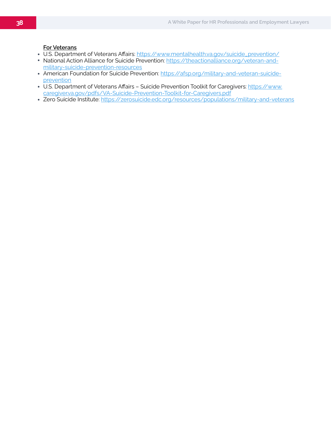#### **For Veterans**

- U.S. Department of Veterans Affairs: https://www.mentalhealth.va.gov/suicide\_prevention/
- National Action Alliance for Suicide Prevention: https://theactionalliance.org/veteran-andmilitary-suicide-prevention-resources
- American Foundation for Suicide Prevention: https://afsp.org/military-and-veteran-suicideprevention
- U.S. Department of Veterans Affairs Suicide Prevention Toolkit for Caregivers: https://www. caregiver.va.gov/pdfs/VA-Suicide-Prevention-Toolkit-for-Caregivers.pdf
- Zero Suicide Institute: https://zerosuicide.edc.org/resources/populations/military-and-veterans